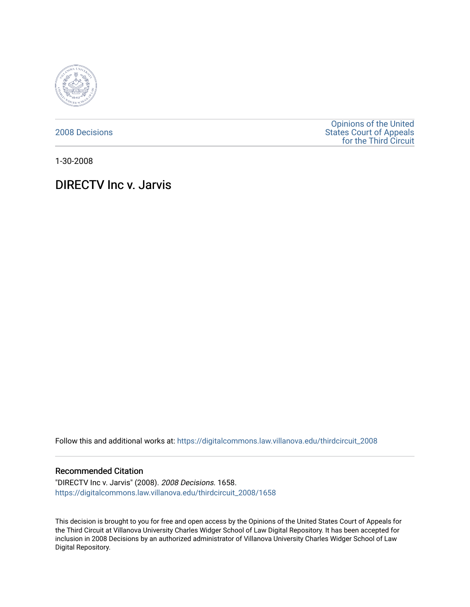

[2008 Decisions](https://digitalcommons.law.villanova.edu/thirdcircuit_2008)

[Opinions of the United](https://digitalcommons.law.villanova.edu/thirdcircuit)  [States Court of Appeals](https://digitalcommons.law.villanova.edu/thirdcircuit)  [for the Third Circuit](https://digitalcommons.law.villanova.edu/thirdcircuit) 

1-30-2008

# DIRECTV Inc v. Jarvis

Follow this and additional works at: [https://digitalcommons.law.villanova.edu/thirdcircuit\\_2008](https://digitalcommons.law.villanova.edu/thirdcircuit_2008?utm_source=digitalcommons.law.villanova.edu%2Fthirdcircuit_2008%2F1658&utm_medium=PDF&utm_campaign=PDFCoverPages) 

### Recommended Citation

"DIRECTV Inc v. Jarvis" (2008). 2008 Decisions. 1658. [https://digitalcommons.law.villanova.edu/thirdcircuit\\_2008/1658](https://digitalcommons.law.villanova.edu/thirdcircuit_2008/1658?utm_source=digitalcommons.law.villanova.edu%2Fthirdcircuit_2008%2F1658&utm_medium=PDF&utm_campaign=PDFCoverPages) 

This decision is brought to you for free and open access by the Opinions of the United States Court of Appeals for the Third Circuit at Villanova University Charles Widger School of Law Digital Repository. It has been accepted for inclusion in 2008 Decisions by an authorized administrator of Villanova University Charles Widger School of Law Digital Repository.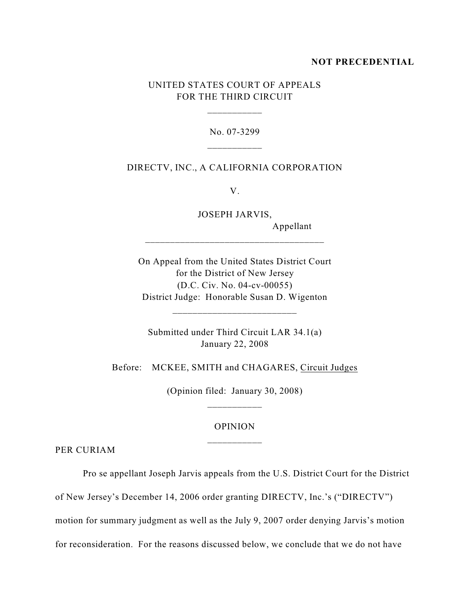### **NOT PRECEDENTIAL**

## UNITED STATES COURT OF APPEALS FOR THE THIRD CIRCUIT

\_\_\_\_\_\_\_\_\_\_\_

No. 07-3299

### DIRECTV, INC., A CALIFORNIA CORPORATION

V.

JOSEPH JARVIS,

\_\_\_\_\_\_\_\_\_\_\_\_\_\_\_\_\_\_\_\_\_\_\_\_\_\_\_\_\_\_\_\_\_\_\_\_

Appellant

On Appeal from the United States District Court for the District of New Jersey (D.C. Civ. No. 04-cv-00055) District Judge: Honorable Susan D. Wigenton

Submitted under Third Circuit LAR 34.1(a) January 22, 2008

\_\_\_\_\_\_\_\_\_\_\_\_\_\_\_\_\_\_\_\_\_\_\_\_\_

Before: MCKEE, SMITH and CHAGARES, Circuit Judges

(Opinion filed: January 30, 2008) \_\_\_\_\_\_\_\_\_\_\_

### OPINION

PER CURIAM

Pro se appellant Joseph Jarvis appeals from the U.S. District Court for the District

of New Jersey's December 14, 2006 order granting DIRECTV, Inc.'s ("DIRECTV")

motion for summary judgment as well as the July 9, 2007 order denying Jarvis's motion

for reconsideration. For the reasons discussed below, we conclude that we do not have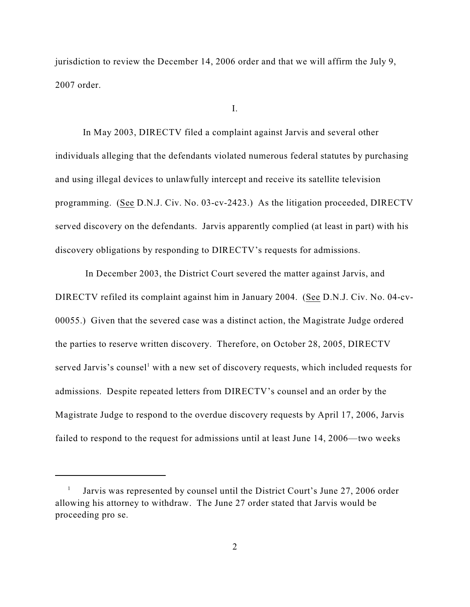jurisdiction to review the December 14, 2006 order and that we will affirm the July 9, 2007 order.

I.

In May 2003, DIRECTV filed a complaint against Jarvis and several other individuals alleging that the defendants violated numerous federal statutes by purchasing and using illegal devices to unlawfully intercept and receive its satellite television programming. (See D.N.J. Civ. No. 03-cv-2423.) As the litigation proceeded, DIRECTV served discovery on the defendants. Jarvis apparently complied (at least in part) with his discovery obligations by responding to DIRECTV's requests for admissions.

 In December 2003, the District Court severed the matter against Jarvis, and DIRECTV refiled its complaint against him in January 2004. (See D.N.J. Civ. No. 04-cv-00055.) Given that the severed case was a distinct action, the Magistrate Judge ordered the parties to reserve written discovery. Therefore, on October 28, 2005, DIRECTV served Jarvis's counsel<sup>1</sup> with a new set of discovery requests, which included requests for admissions. Despite repeated letters from DIRECTV's counsel and an order by the Magistrate Judge to respond to the overdue discovery requests by April 17, 2006, Jarvis failed to respond to the request for admissions until at least June 14, 2006—two weeks

Jarvis was represented by counsel until the District Court's June 27, 2006 order <sup>1</sup> allowing his attorney to withdraw. The June 27 order stated that Jarvis would be proceeding pro se.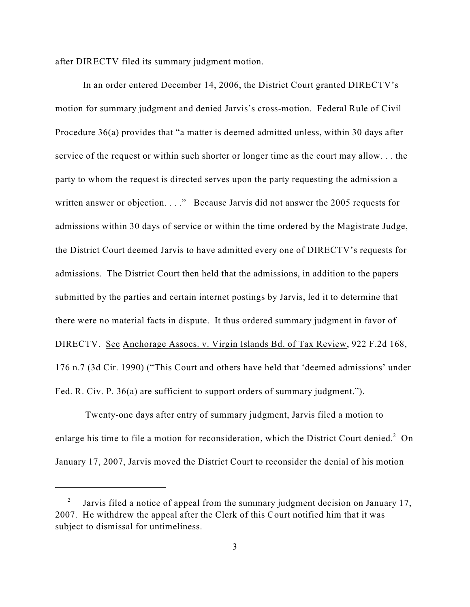after DIRECTV filed its summary judgment motion.

In an order entered December 14, 2006, the District Court granted DIRECTV's motion for summary judgment and denied Jarvis's cross-motion. Federal Rule of Civil Procedure 36(a) provides that "a matter is deemed admitted unless, within 30 days after service of the request or within such shorter or longer time as the court may allow. . . the party to whom the request is directed serves upon the party requesting the admission a written answer or objection. . . ." Because Jarvis did not answer the 2005 requests for admissions within 30 days of service or within the time ordered by the Magistrate Judge, the District Court deemed Jarvis to have admitted every one of DIRECTV's requests for admissions. The District Court then held that the admissions, in addition to the papers submitted by the parties and certain internet postings by Jarvis, led it to determine that there were no material facts in dispute. It thus ordered summary judgment in favor of DIRECTV. See Anchorage Assocs. v. Virgin Islands Bd. of Tax Review, 922 F.2d 168, 176 n.7 (3d Cir. 1990) ("This Court and others have held that 'deemed admissions' under Fed. R. Civ. P. 36(a) are sufficient to support orders of summary judgment.").

 Twenty-one days after entry of summary judgment, Jarvis filed a motion to enlarge his time to file a motion for reconsideration, which the District Court denied.<sup>2</sup> On January 17, 2007, Jarvis moved the District Court to reconsider the denial of his motion

Jarvis filed a notice of appeal from the summary judgment decision on January 17, <sup>2</sup> 2007. He withdrew the appeal after the Clerk of this Court notified him that it was subject to dismissal for untimeliness.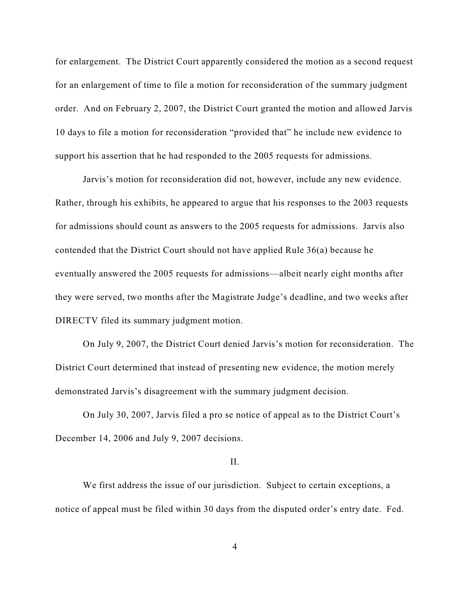for enlargement. The District Court apparently considered the motion as a second request for an enlargement of time to file a motion for reconsideration of the summary judgment order. And on February 2, 2007, the District Court granted the motion and allowed Jarvis 10 days to file a motion for reconsideration "provided that" he include new evidence to support his assertion that he had responded to the 2005 requests for admissions.

Jarvis's motion for reconsideration did not, however, include any new evidence. Rather, through his exhibits, he appeared to argue that his responses to the 2003 requests for admissions should count as answers to the 2005 requests for admissions. Jarvis also contended that the District Court should not have applied Rule 36(a) because he eventually answered the 2005 requests for admissions—albeit nearly eight months after they were served, two months after the Magistrate Judge's deadline, and two weeks after DIRECTV filed its summary judgment motion.

On July 9, 2007, the District Court denied Jarvis's motion for reconsideration. The District Court determined that instead of presenting new evidence, the motion merely demonstrated Jarvis's disagreement with the summary judgment decision.

On July 30, 2007, Jarvis filed a pro se notice of appeal as to the District Court's December 14, 2006 and July 9, 2007 decisions.

#### II.

We first address the issue of our jurisdiction. Subject to certain exceptions, a notice of appeal must be filed within 30 days from the disputed order's entry date. Fed.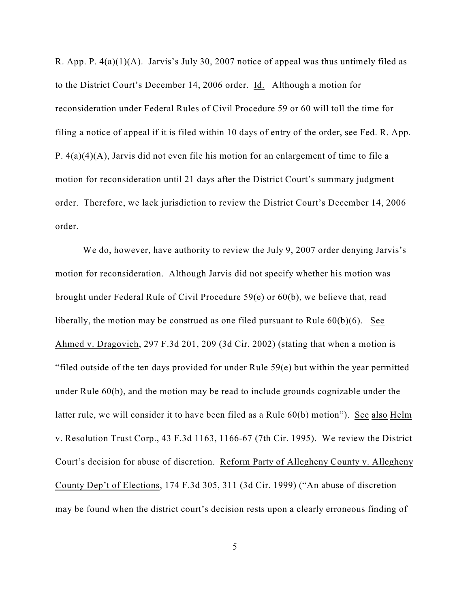R. App. P. 4(a)(1)(A). Jarvis's July 30, 2007 notice of appeal was thus untimely filed as to the District Court's December 14, 2006 order. Id. Although a motion for reconsideration under Federal Rules of Civil Procedure 59 or 60 will toll the time for filing a notice of appeal if it is filed within 10 days of entry of the order, see Fed. R. App. P. 4(a)(4)(A), Jarvis did not even file his motion for an enlargement of time to file a motion for reconsideration until 21 days after the District Court's summary judgment order. Therefore, we lack jurisdiction to review the District Court's December 14, 2006 order.

We do, however, have authority to review the July 9, 2007 order denying Jarvis's motion for reconsideration. Although Jarvis did not specify whether his motion was brought under Federal Rule of Civil Procedure 59(e) or 60(b), we believe that, read liberally, the motion may be construed as one filed pursuant to Rule 60(b)(6). See Ahmed v. Dragovich, 297 F.3d 201, 209 (3d Cir. 2002) (stating that when a motion is "filed outside of the ten days provided for under Rule 59(e) but within the year permitted under Rule 60(b), and the motion may be read to include grounds cognizable under the latter rule, we will consider it to have been filed as a Rule 60(b) motion"). See also Helm v. Resolution Trust Corp., 43 F.3d 1163, 1166-67 (7th Cir. 1995). We review the District Court's decision for abuse of discretion. Reform Party of Allegheny County v. Allegheny County Dep't of Elections, 174 F.3d 305, 311 (3d Cir. 1999) ("An abuse of discretion may be found when the district court's decision rests upon a clearly erroneous finding of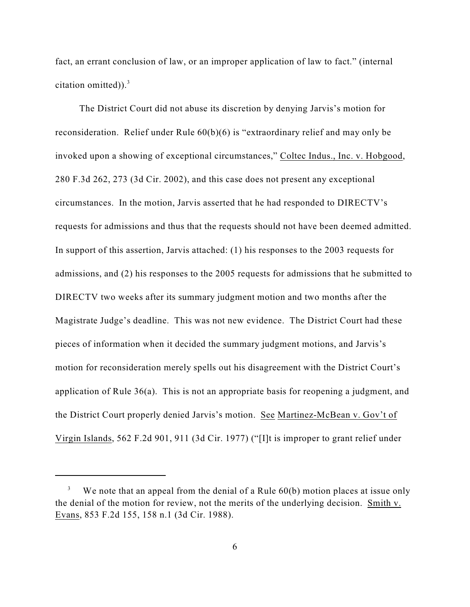fact, an errant conclusion of law, or an improper application of law to fact." (internal citation omitted)). $3$ 

The District Court did not abuse its discretion by denying Jarvis's motion for reconsideration. Relief under Rule 60(b)(6) is "extraordinary relief and may only be invoked upon a showing of exceptional circumstances," Coltec Indus., Inc. v. Hobgood, 280 F.3d 262, 273 (3d Cir. 2002), and this case does not present any exceptional circumstances. In the motion, Jarvis asserted that he had responded to DIRECTV's requests for admissions and thus that the requests should not have been deemed admitted. In support of this assertion, Jarvis attached: (1) his responses to the 2003 requests for admissions, and (2) his responses to the 2005 requests for admissions that he submitted to DIRECTV two weeks after its summary judgment motion and two months after the Magistrate Judge's deadline. This was not new evidence. The District Court had these pieces of information when it decided the summary judgment motions, and Jarvis's motion for reconsideration merely spells out his disagreement with the District Court's application of Rule 36(a). This is not an appropriate basis for reopening a judgment, and the District Court properly denied Jarvis's motion. See Martinez-McBean v. Gov't of Virgin Islands, 562 F.2d 901, 911 (3d Cir. 1977) ("[I]t is improper to grant relief under

We note that an appeal from the denial of a Rule  $60(b)$  motion places at issue only the denial of the motion for review, not the merits of the underlying decision. Smith v. Evans, 853 F.2d 155, 158 n.1 (3d Cir. 1988).